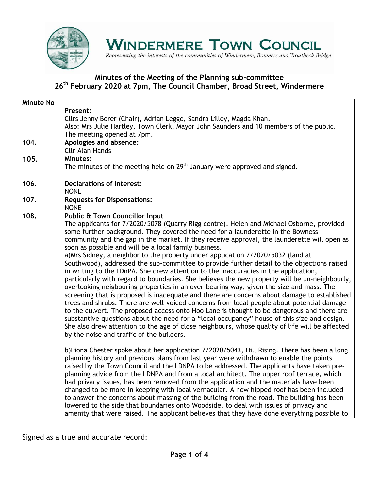

Representing the interests of the communities of Windermere, Bowness and Troutbeck Bridge

#### **Minutes of the Meeting of the Planning sub-committee 26th February 2020 at 7pm, The Council Chamber, Broad Street, Windermere**

| <b>Minute No</b> |                                                                                                                                                                                                                                                                                                                                                                                                                                                                                                                                                                                                                                                                                                                                                                                                                                                                                                                                                                                                                                                                                                                                                                                                                                                                                                                                                                                               |
|------------------|-----------------------------------------------------------------------------------------------------------------------------------------------------------------------------------------------------------------------------------------------------------------------------------------------------------------------------------------------------------------------------------------------------------------------------------------------------------------------------------------------------------------------------------------------------------------------------------------------------------------------------------------------------------------------------------------------------------------------------------------------------------------------------------------------------------------------------------------------------------------------------------------------------------------------------------------------------------------------------------------------------------------------------------------------------------------------------------------------------------------------------------------------------------------------------------------------------------------------------------------------------------------------------------------------------------------------------------------------------------------------------------------------|
|                  | Present:<br>Cllrs Jenny Borer (Chair), Adrian Legge, Sandra Lilley, Magda Khan.<br>Also: Mrs Julie Hartley, Town Clerk, Mayor John Saunders and 10 members of the public.<br>The meeting opened at 7pm.                                                                                                                                                                                                                                                                                                                                                                                                                                                                                                                                                                                                                                                                                                                                                                                                                                                                                                                                                                                                                                                                                                                                                                                       |
| 104.             | Apologies and absence:<br><b>Cllr Alan Hands</b>                                                                                                                                                                                                                                                                                                                                                                                                                                                                                                                                                                                                                                                                                                                                                                                                                                                                                                                                                                                                                                                                                                                                                                                                                                                                                                                                              |
| 105.             | <b>Minutes:</b><br>The minutes of the meeting held on $29th$ January were approved and signed.                                                                                                                                                                                                                                                                                                                                                                                                                                                                                                                                                                                                                                                                                                                                                                                                                                                                                                                                                                                                                                                                                                                                                                                                                                                                                                |
| 106.             | <b>Declarations of Interest:</b><br><b>NONE</b>                                                                                                                                                                                                                                                                                                                                                                                                                                                                                                                                                                                                                                                                                                                                                                                                                                                                                                                                                                                                                                                                                                                                                                                                                                                                                                                                               |
| 107.             | <b>Requests for Dispensations:</b><br><b>NONE</b>                                                                                                                                                                                                                                                                                                                                                                                                                                                                                                                                                                                                                                                                                                                                                                                                                                                                                                                                                                                                                                                                                                                                                                                                                                                                                                                                             |
| 108.             | <b>Public &amp; Town Councillor Input</b><br>The applicants for 7/2020/5078 (Quarry Rigg centre), Helen and Michael Osborne, provided<br>some further background. They covered the need for a launderette in the Bowness<br>community and the gap in the market. If they receive approval, the launderette will open as<br>soon as possible and will be a local family business.<br>a) Mrs Sidney, a neighbor to the property under application 7/2020/5032 (land at<br>Southwood), addressed the sub-committee to provide further detail to the objections raised<br>in writing to the LDnPA. She drew attention to the inaccuracies in the application,<br>particularly with regard to boundaries. She believes the new property will be un-neighbourly,<br>overlooking neigbouring properties in an over-bearing way, given the size and mass. The<br>screening that is proposed is inadequate and there are concerns about damage to established<br>trees and shrubs. There are well-voiced concerns from local people about potential damage<br>to the culvert. The proposed access onto Hoo Lane is thought to be dangerous and there are<br>substantive questions about the need for a "local occupancy" house of this size and design.<br>She also drew attention to the age of close neighbours, whose quality of life will be affected<br>by the noise and traffic of the builders. |
|                  | b)Fiona Chester spoke about her application 7/2020/5043, Hill Rising. There has been a long<br>planning history and previous plans from last year were withdrawn to enable the points<br>raised by the Town Council and the LDNPA to be addressed. The applicants have taken pre-<br>planning advice from the LDNPA and from a local architect. The upper roof terrace, which<br>had privacy issues, has been removed from the application and the materials have been<br>changed to be more in keeping with local vernacular. A new hipped roof has been included<br>to answer the concerns about massing of the building from the road. The building has been<br>lowered to the side that boundaries onto Woodside, to deal with issues of privacy and<br>amenity that were raised. The applicant believes that they have done everything possible to                                                                                                                                                                                                                                                                                                                                                                                                                                                                                                                                       |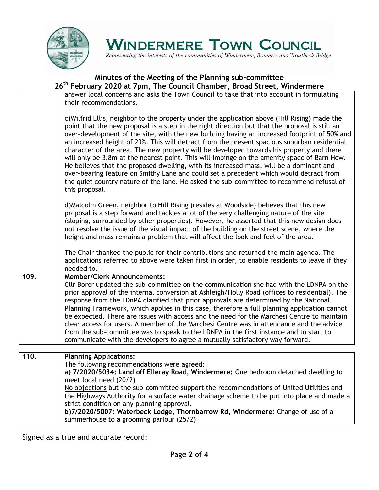

Representing the interests of the communities of Windermere, Bowness and Troutbeck Bridge

### **Minutes of the Meeting of the Planning sub-committee 26th February 2020 at 7pm, The Council Chamber, Broad Street, Windermere**

| answer local concerns and asks the Town Council to take that into account in formulating<br>their recommendations.                                                                                                                                                                                                                                                                                                                                                                                                                                                                                                                                                                                                                                                                                                                                                                            |
|-----------------------------------------------------------------------------------------------------------------------------------------------------------------------------------------------------------------------------------------------------------------------------------------------------------------------------------------------------------------------------------------------------------------------------------------------------------------------------------------------------------------------------------------------------------------------------------------------------------------------------------------------------------------------------------------------------------------------------------------------------------------------------------------------------------------------------------------------------------------------------------------------|
| c) Wilfrid Ellis, neighbor to the property under the application above (Hill Rising) made the<br>point that the new proposal is a step in the right direction but that the proposal is still an<br>over-development of the site, with the new building having an increased footprint of 50% and<br>an increased height of 23%. This will detract from the present spacious suburban residential<br>character of the area. The new property will be developed towards his property and there<br>will only be 3.8m at the nearest point. This will impinge on the amenity space of Barn How.<br>He believes that the proposed dwelling, with its increased mass, will be a dominant and<br>over-bearing feature on Smithy Lane and could set a precedent which would detract from<br>the quiet country nature of the lane. He asked the sub-committee to recommend refusal of<br>this proposal. |
| d) Malcolm Green, neighbor to Hill Rising (resides at Woodside) believes that this new<br>proposal is a step forward and tackles a lot of the very challenging nature of the site<br>(sloping, surrounded by other properties). However, he asserted that this new design does<br>not resolve the issue of the visual impact of the building on the street scene, where the<br>height and mass remains a problem that will affect the look and feel of the area.                                                                                                                                                                                                                                                                                                                                                                                                                              |
| The Chair thanked the public for their contributions and returned the main agenda. The<br>applications referred to above were taken first in order, to enable residents to leave if they<br>needed to.                                                                                                                                                                                                                                                                                                                                                                                                                                                                                                                                                                                                                                                                                        |
| <b>Member/Clerk Announcements:</b><br>Cllr Borer updated the sub-committee on the communication she had with the LDNPA on the<br>prior approval of the internal conversion at Ashleigh/Holly Road (offices to residential). The<br>response from the LDnPA clarified that prior approvals are determined by the National<br>Planning Framework, which applies in this case, therefore a full planning application cannot<br>be expected. There are issues with access and the need for the Marchesi Centre to maintain<br>clear access for users. A member of the Marchesi Centre was in attendance and the advice<br>from the sub-committee was to speak to the LDNPA in the first instance and to start to<br>communicate with the developers to agree a mutually satisfactory way forward.                                                                                                 |
|                                                                                                                                                                                                                                                                                                                                                                                                                                                                                                                                                                                                                                                                                                                                                                                                                                                                                               |
| <b>Planning Applications:</b><br>The following recommendations were agreed:<br>a) 7/2020/5034: Land off Elleray Road, Windermere: One bedroom detached dwelling to<br>meet local need (20/2)<br>No objections but the sub-committee support the recommendations of United Utilities and<br>the Highways Authority for a surface water drainage scheme to be put into place and made a<br>strict condition on any planning approval.<br>b)7/2020/5007: Waterbeck Lodge, Thornbarrow Rd, Windermere: Change of use of a<br>summerhouse to a grooming parlour (25/2)                                                                                                                                                                                                                                                                                                                             |
|                                                                                                                                                                                                                                                                                                                                                                                                                                                                                                                                                                                                                                                                                                                                                                                                                                                                                               |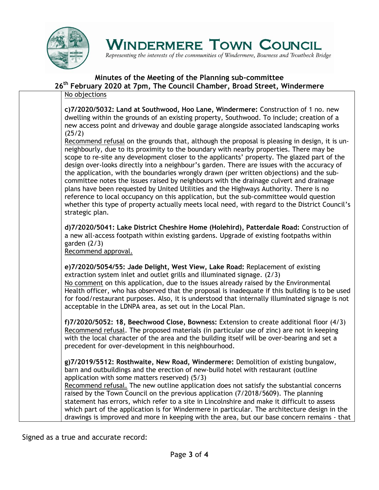

Representing the interests of the communities of Windermere, Bowness and Troutbeck Bridge

#### **Minutes of the Meeting of the Planning sub-committee**

**26th February 2020 at 7pm, The Council Chamber, Broad Street, Windermere**

#### No objections

**c)7/2020/5032: Land at Southwood, Hoo Lane, Windermere:** Construction of 1 no. new dwelling within the grounds of an existing property, Southwood. To include; creation of a new access point and driveway and double garage alongside associated landscaping works (25/2)

Recommend refusal on the grounds that, although the proposal is pleasing in design, it is unneighbourly, due to its proximity to the boundary with nearby properties. There may be scope to re-site any development closer to the applicants' property. The glazed part of the design over-looks directly into a neighbour's garden. There are issues with the accuracy of the application, with the boundaries wrongly drawn (per written objections) and the subcommittee notes the issues raised by neighbours with the drainage culvert and drainage plans have been requested by United Utilities and the Highways Authority. There is no reference to local occupancy on this application, but the sub-committee would question whether this type of property actually meets local need, with regard to the District Council's strategic plan.

**d)7/2020/5041: Lake District Cheshire Home (Holehird), Patterdale Road:** Construction of a new all-access footpath within existing gardens. Upgrade of existing footpaths within garden (2/3)

Recommend approval.

**e)7/2020/5054/55: Jade Delight, West View, Lake Road:** Replacement of existing extraction system inlet and outlet grills and illuminated signage. (2/3) No comment on this application, due to the issues already raised by the Environmental Health officer, who has observed that the proposal is inadequate if this building is to be used for food/restaurant purposes. Also, it is understood that internally illuminated signage is not acceptable in the LDNPA area, as set out in the Local Plan.

**f)7/2020/5052: 18, Beechwood Close, Bowness:** Extension to create additional floor (4/3) Recommend refusal. The proposed materials (in particular use of zinc) are not in keeping with the local character of the area and the building itself will be over-bearing and set a precedent for over-development in this neighbourhood.

**g)7/2019/5512: Rosthwaite, New Road, Windermere:** Demolition of existing bungalow, barn and outbuildings and the erection of new-build hotel with restaurant (outline application with some matters reserved) (5/3)

Recommend refusal. The new outline application does not satisfy the substantial concerns raised by the Town Council on the previous application (7/2018/5609). The planning statement has errors, which refer to a site in Lincolnshire and make it difficult to assess which part of the application is for Windermere in particular. The architecture design in the drawings is improved and more in keeping with the area, but our base concern remains - that